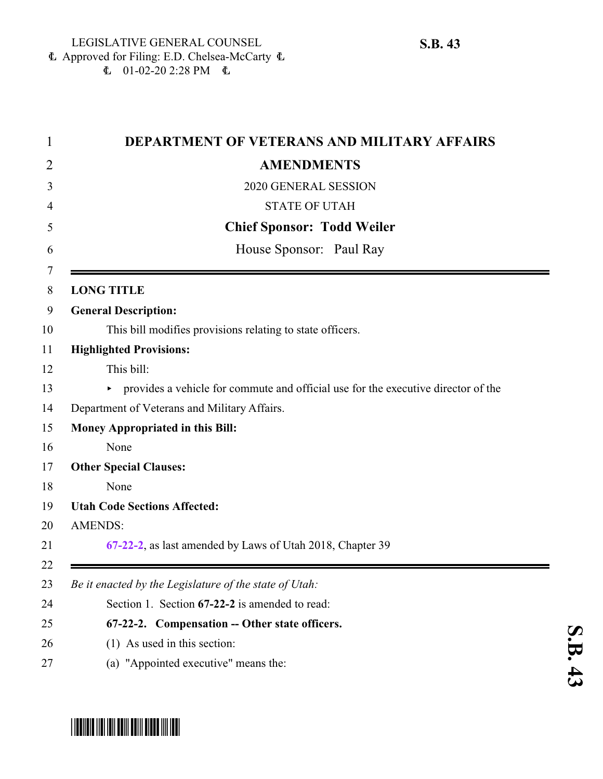$E$  01-02-20 2:28 PM  $E$ 

| 1      | <b>DEPARTMENT OF VETERANS AND MILITARY AFFAIRS</b>                                  |
|--------|-------------------------------------------------------------------------------------|
| 2      | <b>AMENDMENTS</b>                                                                   |
| 3      | 2020 GENERAL SESSION                                                                |
| 4      | <b>STATE OF UTAH</b>                                                                |
| 5      | <b>Chief Sponsor: Todd Weiler</b>                                                   |
| 6      | House Sponsor: Paul Ray                                                             |
| 7<br>8 | <b>LONG TITLE</b>                                                                   |
| 9      | <b>General Description:</b>                                                         |
| 10     | This bill modifies provisions relating to state officers.                           |
| 11     | <b>Highlighted Provisions:</b>                                                      |
| 12     | This bill:                                                                          |
| 13     | • provides a vehicle for commute and official use for the executive director of the |
| 14     | Department of Veterans and Military Affairs.                                        |
| 15     | <b>Money Appropriated in this Bill:</b>                                             |
| 16     | None                                                                                |
| 17     | <b>Other Special Clauses:</b>                                                       |
| 18     | None                                                                                |
| 19     | <b>Utah Code Sections Affected:</b>                                                 |
| 20     | <b>AMENDS:</b>                                                                      |
| 21     | 67-22-2, as last amended by Laws of Utah 2018, Chapter 39                           |
| 22     |                                                                                     |
| 23     | Be it enacted by the Legislature of the state of Utah:                              |
| 24     | Section 1. Section 67-22-2 is amended to read:                                      |
| 25     | 67-22-2. Compensation -- Other state officers.                                      |
| 26     | (1) As used in this section:                                                        |
| 27     | (a) "Appointed executive" means the:                                                |

-

<span id="page-0-0"></span>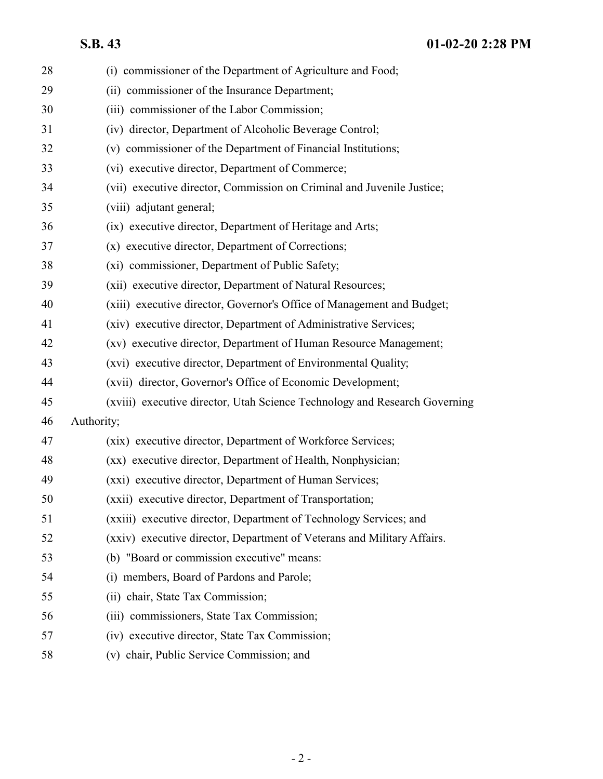| 28 | (i) commissioner of the Department of Agriculture and Food;                |
|----|----------------------------------------------------------------------------|
| 29 | (ii) commissioner of the Insurance Department;                             |
| 30 | (iii) commissioner of the Labor Commission;                                |
| 31 | (iv) director, Department of Alcoholic Beverage Control;                   |
| 32 | (v) commissioner of the Department of Financial Institutions;              |
| 33 | (vi) executive director, Department of Commerce;                           |
| 34 | (vii) executive director, Commission on Criminal and Juvenile Justice;     |
| 35 | (viii) adjutant general;                                                   |
| 36 | (ix) executive director, Department of Heritage and Arts;                  |
| 37 | (x) executive director, Department of Corrections;                         |
| 38 | (xi) commissioner, Department of Public Safety;                            |
| 39 | (xii) executive director, Department of Natural Resources;                 |
| 40 | (xiii) executive director, Governor's Office of Management and Budget;     |
| 41 | (xiv) executive director, Department of Administrative Services;           |
| 42 | (xv) executive director, Department of Human Resource Management;          |
| 43 | (xvi) executive director, Department of Environmental Quality;             |
| 44 | (xvii) director, Governor's Office of Economic Development;                |
| 45 | (xviii) executive director, Utah Science Technology and Research Governing |
| 46 | Authority;                                                                 |
| 47 | (xix) executive director, Department of Workforce Services;                |
| 48 | (xx) executive director, Department of Health, Nonphysician;               |
| 49 | (xxi) executive director, Department of Human Services;                    |
| 50 | (xxii) executive director, Department of Transportation;                   |
| 51 | (xxiii) executive director, Department of Technology Services; and         |
| 52 | (xxiv) executive director, Department of Veterans and Military Affairs.    |
| 53 | (b) "Board or commission executive" means:                                 |
| 54 | (i) members, Board of Pardons and Parole;                                  |
| 55 | (ii) chair, State Tax Commission;                                          |
| 56 | (iii) commissioners, State Tax Commission;                                 |
| 57 | (iv) executive director, State Tax Commission;                             |
| 58 | (v) chair, Public Service Commission; and                                  |
|    |                                                                            |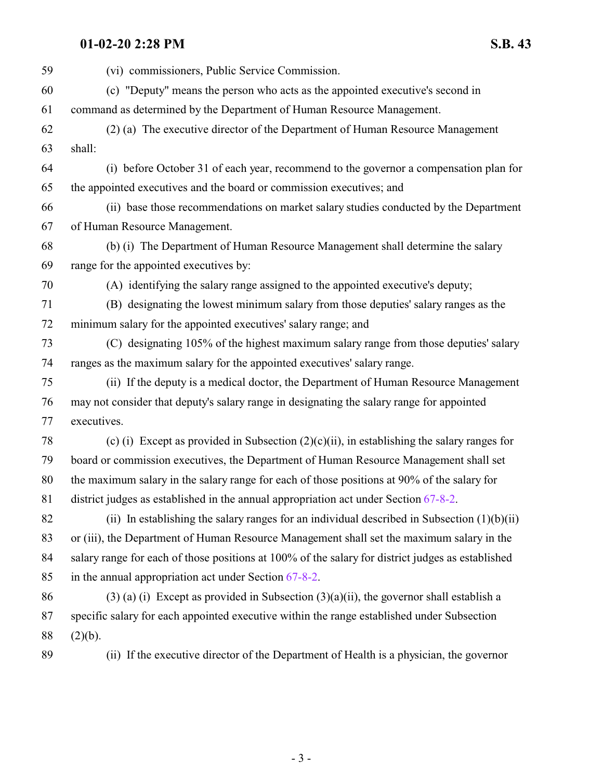## **01-02-20 2:28 PM S.B. 43**

| 59 | (vi) commissioners, Public Service Commission.                                                    |
|----|---------------------------------------------------------------------------------------------------|
| 60 | (c) "Deputy" means the person who acts as the appointed executive's second in                     |
| 61 | command as determined by the Department of Human Resource Management.                             |
| 62 | (2) (a) The executive director of the Department of Human Resource Management                     |
| 63 | shall:                                                                                            |
| 64 | (i) before October 31 of each year, recommend to the governor a compensation plan for             |
| 65 | the appointed executives and the board or commission executives; and                              |
| 66 | (ii) base those recommendations on market salary studies conducted by the Department              |
| 67 | of Human Resource Management.                                                                     |
| 68 | (b) (i) The Department of Human Resource Management shall determine the salary                    |
| 69 | range for the appointed executives by:                                                            |
| 70 | (A) identifying the salary range assigned to the appointed executive's deputy;                    |
| 71 | (B) designating the lowest minimum salary from those deputies' salary ranges as the               |
| 72 | minimum salary for the appointed executives' salary range; and                                    |
| 73 | (C) designating 105% of the highest maximum salary range from those deputies' salary              |
| 74 | ranges as the maximum salary for the appointed executives' salary range.                          |
| 75 | (ii) If the deputy is a medical doctor, the Department of Human Resource Management               |
| 76 | may not consider that deputy's salary range in designating the salary range for appointed         |
| 77 | executives.                                                                                       |
| 78 | (c) (i) Except as provided in Subsection $(2)(c)(ii)$ , in establishing the salary ranges for     |
| 79 | board or commission executives, the Department of Human Resource Management shall set             |
| 80 | the maximum salary in the salary range for each of those positions at 90% of the salary for       |
| 81 | district judges as established in the annual appropriation act under Section $67-8-2$ .           |
| 82 | (ii) In establishing the salary ranges for an individual described in Subsection $(1)(b)(ii)$     |
| 83 | or (iii), the Department of Human Resource Management shall set the maximum salary in the         |
| 84 | salary range for each of those positions at 100% of the salary for district judges as established |
| 85 | in the annual appropriation act under Section 67-8-2.                                             |
| 86 | $(3)$ (a) (i) Except as provided in Subsection $(3)(a)(ii)$ , the governor shall establish a      |
| 87 | specific salary for each appointed executive within the range established under Subsection        |
| 88 | (2)(b).                                                                                           |
| 89 | (ii) If the executive director of the Department of Health is a physician, the governor           |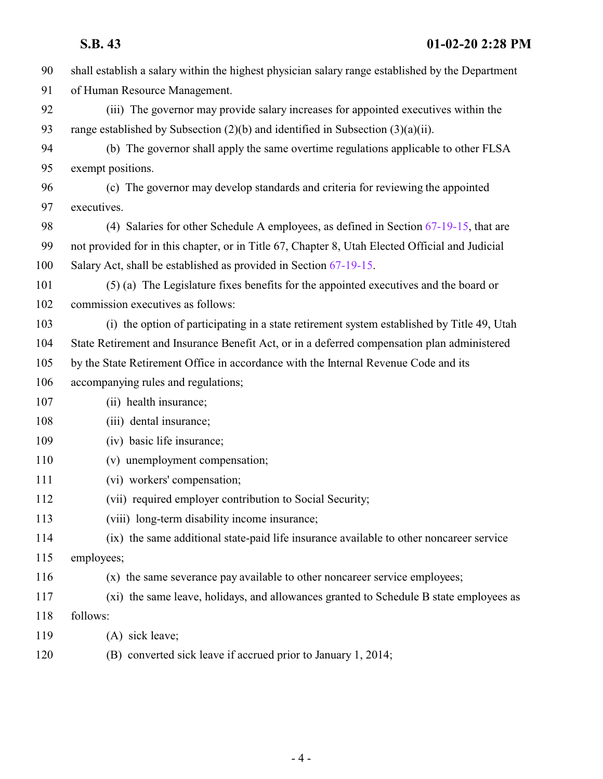shall establish a salary within the highest physician salary range established by the Department of Human Resource Management. (iii) The governor may provide salary increases for appointed executives within the range established by Subsection (2)(b) and identified in Subsection (3)(a)(ii). (b) The governor shall apply the same overtime regulations applicable to other FLSA exempt positions. (c) The governor may develop standards and criteria for reviewing the appointed executives. 98 (4) Salaries for other Schedule A employees, as defined in Section [67-19-15](http://le.utah.gov/UtahCode/SectionLookup.jsp?section=67-19-15&session=2020GS), that are not provided for in this chapter, or in Title 67, Chapter 8, Utah Elected Official and Judicial Salary Act, shall be established as provided in Section [67-19-15](http://le.utah.gov/UtahCode/SectionLookup.jsp?section=67-19-15&session=2020GS). (5) (a) The Legislature fixes benefits for the appointed executives and the board or commission executives as follows: (i) the option of participating in a state retirement system established by Title 49, Utah State Retirement and Insurance Benefit Act, or in a deferred compensation plan administered by the State Retirement Office in accordance with the Internal Revenue Code and its accompanying rules and regulations; (ii) health insurance; 108 (iii) dental insurance; 109 (iv) basic life insurance; (v) unemployment compensation; (vi) workers' compensation; (vii) required employer contribution to Social Security; (viii) long-term disability income insurance; (ix) the same additional state-paid life insurance available to other noncareer service employees; (x) the same severance pay available to other noncareer service employees; (xi) the same leave, holidays, and allowances granted to Schedule B state employees as follows: (A) sick leave; (B) converted sick leave if accrued prior to January 1, 2014;